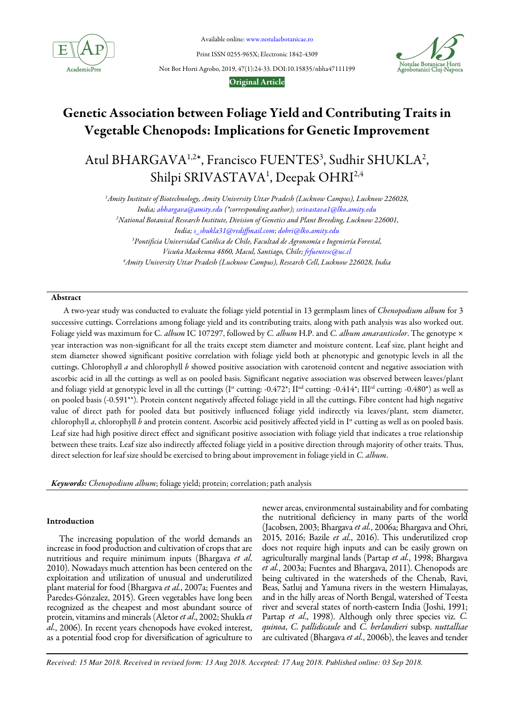

Available online: www.notulaebotanicae.ro

Print ISSN 0255-965X; Electronic 1842-4309

Not Bot Horti Agrobo, 2019, 47(1):24-33. DOI:10.15835/nbha47111199



#### Original Article

# Genetic Association between Foliage Yield and Contributing Traits in Vegetable Chenopods: Implications for Genetic Improvement

# Atul BHARGAVA<sup>1,2\*</sup>, Francisco FUENTES<sup>3</sup>, Sudhir SHUKLA<sup>2</sup>, Shilpi SRIVASTAVA<sup>1</sup>, Deepak OHRI<sup>2,4</sup>

<sup>1</sup> Amity Institute of Biotechnology, Amity University Uttar Pradesh (Lucknow Campus), Lucknow 226028, India; abhargava@amity.edu (\*corresponding author); ssrivastava1@lko.amity.edu <sup>2</sup>National Botanical Research Institute, Division of Genetics and Plant Breeding, Lucknow 226001, India; s\_shukla31@rediffmail.com; dohri@lko.amity.edu <sup>3</sup>Pontificia Universidad Católica de Chile, Facultad de Agronomía e Ingeniería Forestal, Vicuña Mackenna 4860, Macul, Santiago, Chile; frfuentesc@uc.cl <sup>4</sup>Amity University Uttar Pradesh (Lucknow Campus), Research Cell, Lucknow 226028, India

# Abstract

A two-year study was conducted to evaluate the foliage yield potential in 13 germplasm lines of Chenopodium album for 3 successive cuttings. Correlations among foliage yield and its contributing traits, along with path analysis was also worked out. Foliage yield was maximum for C. album IC 107297, followed by C. album H.P. and C. album amaranticolor. The genotype  $\times$ year interaction was non-significant for all the traits except stem diameter and moisture content. Leaf size, plant height and stem diameter showed significant positive correlation with foliage yield both at phenotypic and genotypic levels in all the cuttings. Chlorophyll  $a$  and chlorophyll  $b$  showed positive association with carotenoid content and negative association with ascorbic acid in all the cuttings as well as on pooled basis. Significant negative association was observed between leaves/plant and foliage yield at genotypic level in all the cuttings (I<sup>st</sup> cutting: -0.472<sup>\*</sup>; II<sup>nd</sup> cutting: -0.414<sup>\*</sup>; III<sup>rd</sup> cutting: -0.480<sup>\*</sup>) as well as on pooled basis (-0.591\*\*). Protein content negatively affected foliage yield in all the cuttings. Fibre content had high negative value of direct path for pooled data but positively influenced foliage yield indirectly via leaves/plant, stem diameter, chlorophyll a, chlorophyll b and protein content. Ascorbic acid positively affected yield in  $I^*$  cutting as well as on pooled basis. Leaf size had high positive direct effect and significant positive association with foliage yield that indicates a true relationship between these traits. Leaf size also indirectly affected foliage yield in a positive direction through majority of other traits. Thus, direct selection for leaf size should be exercised to bring about improvement in foliage yield in *C. album*.

Keywords: Chenopodium album; foliage yield; protein; correlation; path analysis

### Introduction

The increasing population of the world demands an increase in food production and cultivation of crops that are nutritious and require minimum inputs (Bhargava et al. 2010). Nowadays much attention has been centered on the exploitation and utilization of unusual and underutilized plant material for food (Bhargava et al., 2007a; Fuentes and Paredes-Gónzalez, 2015). Green vegetables have long been recognized as the cheapest and most abundant source of protein, vitamins and minerals (Aletor et al., 2002; Shukla et al., 2006). In recent years chenopods have evoked interest, as a potential food crop for diversification of agriculture to

newer areas, environmental sustainability and for combating the nutritional deficiency in many parts of the world (Jacobsen, 2003; Bhargava et al., 2006a; Bhargava and Ohri, 2015, 2016; Bazile et al., 2016). This underutilized crop does not require high inputs and can be easily grown on agriculturally marginal lands (Partap et al., 1998; Bhargava et al., 2003a; Fuentes and Bhargava, 2011). Chenopods are being cultivated in the watersheds of the Chenab, Ravi, Beas, Satluj and Yamuna rivers in the western Himalayas, and in the hilly areas of North Bengal, watershed of Teesta river and several states of north-eastern India (Joshi, 1991; Partap et al., 1998). Although only three species viz. C. quinoa, C. pallidicaule and C. berlandieri subsp. nuttalliae are cultivated (Bhargava et al., 2006b), the leaves and tender

*Received: 15 Mar 2018. Received in revised form: 13 Aug 2018. Accepted: 17 Aug 2018. Published online: 03 Sep 2018.*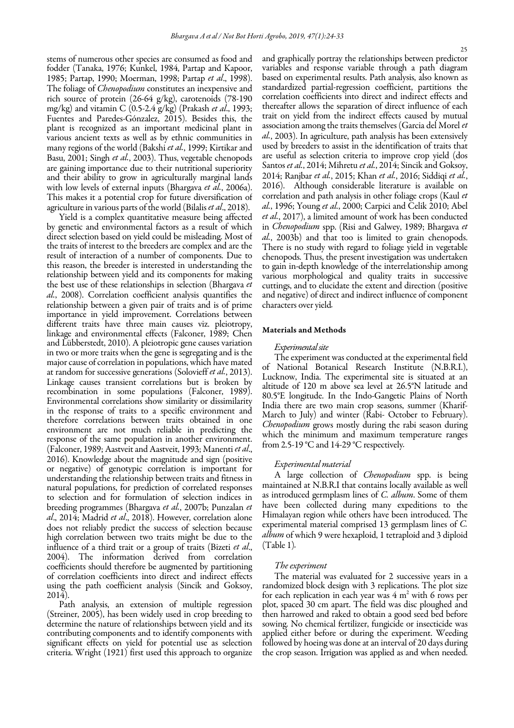stems of numerous other species are consumed as food and fodder (Tanaka, 1976; Kunkel, 1984, Partap and Kapoor, 1985; Partap, 1990; Moerman, 1998; Partap et al., 1998). The foliage of *Chenopodium* constitutes an inexpensive and rich source of protein (26-64 g/kg), carotenoids (78-190 mg/kg) and vitamin C (0.5-2.4 g/kg) (Prakash et al., 1993; Fuentes and Paredes-Gónzalez, 2015). Besides this, the plant is recognized as an important medicinal plant in various ancient texts as well as by ethnic communities in many regions of the world (Bakshi et al., 1999; Kirtikar and Basu, 2001; Singh et al., 2003). Thus, vegetable chenopods are gaining importance due to their nutritional superiority and their ability to grow in agriculturally marginal lands with low levels of external inputs (Bhargava et al., 2006a). This makes it a potential crop for future diversification of agriculture in various parts of the world (Bilalis et al., 2018).

Yield is a complex quantitative measure being affected by genetic and environmental factors as a result of which direct selection based on yield could be misleading. Most of the traits of interest to the breeders are complex and are the result of interaction of a number of components. Due to this reason, the breeder is interested in understanding the relationship between yield and its components for making the best use of these relationships in selection (Bhargava et al., 2008). Correlation coefficient analysis quantifies the relationship between a given pair of traits and is of prime importance in yield improvement. Correlations between different traits have three main causes viz. pleiotropy, linkage and environmental effects (Falconer, 1989; Chen and Lübberstedt, 2010). A pleiotropic gene causes variation in two or more traits when the gene is segregating and is the major cause of correlation in populations, which have mated at random for successive generations (Solovieff et al., 2013). Linkage causes transient correlations but is broken by recombination in some populations (Falconer, 1989). Environmental correlations show similarity or dissimilarity in the response of traits to a specific environment and therefore correlations between traits obtained in one environment are not much reliable in predicting the response of the same population in another environment. (Falconer, 1989; Aastveit and Aastveit, 1993; Manenti et al., 2016). Knowledge about the magnitude and sign (positive or negative) of genotypic correlation is important for understanding the relationship between traits and fitness in natural populations, for prediction of correlated responses to selection and for formulation of selection indices in breeding programmes (Bhargava et al., 2007b; Punzalan et al., 2014; Madrid et al., 2018). However, correlation alone does not reliably predict the success of selection because high correlation between two traits might be due to the influence of a third trait or a group of traits (Bizeti et al., 2004). The information derived from correlation coefficients should therefore be augmented by partitioning of correlation coefficients into direct and indirect effects using the path coefficient analysis (Sincik and Goksoy,  $201\overline{4}$ 

Path analysis, an extension of multiple regression (Streiner, 2005), has been widely used in crop breeding to determine the nature of relationships between yield and its contributing components and to identify components with significant effects on yield for potential use as selection criteria. Wright (1921) first used this approach to organize and graphically portray the relationships between predictor variables and response variable through a path diagram based on experimental results. Path analysis, also known as standardized partial-regression coefficient, partitions the correlation coefficients into direct and indirect effects and thereafter allows the separation of direct influence of each trait on yield from the indirect effects caused by mutual association among the traits themselves (Garcia del Morel et al., 2003). In agriculture, path analysis has been extensively used by breeders to assist in the identification of traits that are useful as selection criteria to improve crop yield (dos Santos et al., 2014; Mihretu et al., 2014; Sincik and Goksoy, 2014; Ranjbar et al., 2015; Khan et al., 2016; Siddiqi et al., 2016). Although considerable literature is available on correlation and path analysis in other foliage crops (Kaul et al., 1996; Young et al., 2000; Carpici and Celik 2010; Abel et al., 2017), a limited amount of work has been conducted in Chenopodium spp. (Risi and Galwey, 1989; Bhargava et al., 2003b) and that too is limited to grain chenopods. There is no study with regard to foliage yield in vegetable chenopods. Thus, the present investigation was undertaken to gain in-depth knowledge of the interrelationship among various morphological and quality traits in successive cuttings, and to elucidate the extent and direction (positive and negative) of direct and indirect influence of component characters over yield.

#### Materials and Methods

# Experimental site

The experiment was conducted at the experimental field of National Botanical Research Institute (N.B.R.I.), Lucknow, India. The experimental site is situated at an altitude of 120 m above sea level at 26.5°N latitude and 80.5°E longitude. In the Indo-Gangetic Plains of North India there are two main crop seasons, summer (Kharif-March to July) and winter (Rabi- October to February). Chenopodium grows mostly during the rabi season during which the minimum and maximum temperature ranges from 2.5-19 °C and 14-29 °C respectively.

# Experimental material

A large collection of Chenopodium spp. is being maintained at N.B.R.I that contains locally available as well as introduced germplasm lines of C. album. Some of them have been collected during many expeditions to the Himalayan region while others have been introduced. The experimental material comprised 13 germplasm lines of C. album of which 9 were hexaploid, 1 tetraploid and 3 diploid (Table 1).

#### The experiment

The material was evaluated for 2 successive years in a randomized block design with 3 replications. The plot size for each replication in each year was  $4 \text{ m}^2$  with 6 rows per plot, spaced 30 cm apart. The field was disc ploughed and then harrowed and raked to obtain a good seed bed before sowing. No chemical fertilizer, fungicide or insecticide was applied either before or during the experiment. Weeding followed by hoeing was done at an interval of 20 days during the crop season. Irrigation was applied as and when needed.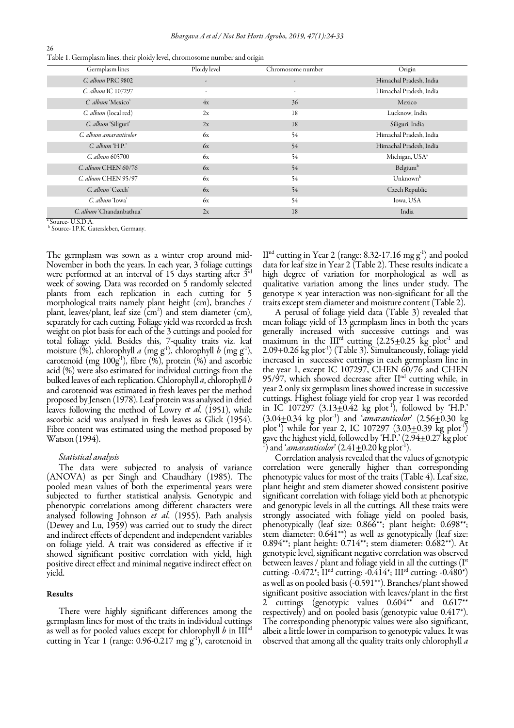| Germplasm lines          | Ploidy level             | Chromosome number | Origin                     |
|--------------------------|--------------------------|-------------------|----------------------------|
| C. album PRC 9802        |                          |                   | Himachal Pradesh, India    |
| C. album IC 107297       | $\overline{\phantom{a}}$ |                   | Himachal Pradesh, India    |
| C. album 'Mexico'        | 4x                       | 36                | Mexico                     |
| C. album (local red)     | 2x                       | 18                | Lucknow, India             |
| C. album 'Siliguri'      | 2x                       | 18                | Siliguri, India            |
| C. album amaranticolor   | 6x                       | 54                | Himachal Pradesh, India    |
| $C.$ album ' $H.P.'$     | 6x                       | 54                | Himachal Pradesh, India    |
| C. album 605700          | 6x                       | 54                | Michigan, USA <sup>a</sup> |
| C. album CHEN 60/76      | 6x                       | 54                | Belgium <sup>b</sup>       |
| C. album CHEN 95/97      | 6x                       | 54                | Unknown $^{\rm b}$         |
| C. album 'Czech'         | 6x                       | 54                | Czech Republic             |
| C. album 'Iowa'          | 6x                       | 54                | Iowa, USA                  |
| C. album 'Chandanbathua' | 2x                       | 18                | India                      |
| $rac{1}{2}$<br>TTCD      |                          |                   |                            |

<sup>a</sup> Source- U.S.D.A.<br><sup>b</sup> Source- I.P.K. Gatersleben, Germany.

The germplasm was sown as a winter crop around mid-November in both the years. In each year, 3 foliage cuttings were performed at an interval of 15 days starting after  $3<sup>rd</sup>$ week of sowing. Data was recorded on 5 randomly selected plants from each replication in each cutting for 5 morphological traits namely plant height (cm), branches / plant, leaves/plant, leaf size (cm<sup>2</sup>) and stem diameter (cm), separately for each cutting. Foliage yield was recorded as fresh weight on plot basis for each of the 3 cuttings and pooled for total foliage yield. Besides this, 7-quality traits viz. leaf moisture (%), chlorophyll *a* (mg g<sup>-1</sup>), chlorophyll *b* (mg g<sup>-1</sup>), carotenoid (mg 100g<sup>-1</sup>), fibre (%), protein (%) and ascorbic acid (%) were also estimated for individual cuttings from the bulked leaves of each replication. Chlorophyll  $a$ , chlorophyll  $b$ and carotenoid was estimated in fresh leaves per the method proposed by Jensen (1978). Leaf protein was analysed in dried leaves following the method of Lowry et al. (1951), while ascorbic acid was analysed in fresh leaves as Glick (1954). Fibre content was estimated using the method proposed by Watson (1994).

#### Statistical analysis

 on foliage yield. A trait was considered as effective if it The data were subjected to analysis of variance (ANOVA) as per Singh and Chaudhary (1985). The pooled mean values of both the experimental years were subjected to further statistical analysis. Genotypic and phenotypic correlations among different characters were analysed following Johnson et al. (1955). Path analysis (Dewey and Lu, 1959) was carried out to study the direct and indirect effects of dependent and independent variables showed significant positive correlation with yield, high positive direct effect and minimal negative indirect effect on yield.

#### Results

There were highly significant differences among the germplasm lines for most of the traits in individual cuttings as well as for pooled values except for chlorophyll  $b$  in  $III^{rd}$ cutting in Year 1 (range:  $0.96 - 0.217$  mg g<sup>-1</sup>), carotenoid in

 $II<sup>nd</sup>$  cutting in Year 2 (range: 8.32-17.16 mg  $g<sup>-1</sup>$ ) and pooled data for leaf size in Year 2 (Table 2). These results indicate a high degree of variation for morphological as well as qualitative variation among the lines under study. The genotype  $\times$  year interaction was non-significant for all the traits except stem diameter and moisture content (Table 2).

A perusal of foliage yield data (Table 3) revealed that mean foliage yield of 13 germplasm lines in both the years generally increased with successive cuttings and was maximum in the III<sup>rd</sup> cutting  $(2.25 \pm 0.25 \text{ kg phot}^{-1}$  and  $2.09+0.26$  kg plot<sup>-1</sup>) (Table 3). Simultaneously, foliage yield increased in successive cuttings in each germplasm line in the year 1, except IC 107297, CHEN 60/76 and CHEN 95/97, which showed decrease after  $II<sup>nd</sup>$  cutting while, in year 2 only six germplasm lines showed increase in successive cuttings. Highest foliage yield for crop year 1 was recorded in IC 107297  $(3.13 \pm 0.42 \text{ kg plot}^{-1})$ , followed by 'H.P.'  $(3.04+0.34 \text{ kg plot}^{-1})$  and 'amaranticolor'  $(2.56+0.30 \text{ kg})$ plot<sup>-1</sup>) while for year 2, IC 107297  $(3.03\pm0.39 \text{ kg plot}^{-1})$ gave the highest yield, followed by 'H.P.' (2.94<u>+</u>0.27 kg plot<sup>-1</sup>)<br><sup>1</sup>) and '*amaranticolor*' (2.41<u>+</u>0.20 kg plot<sup>-1</sup>).

Correlation analysis revealed that the values of genotypic correlation were generally higher than corresponding phenotypic values for most of the traits (Table 4). Leaf size, plant height and stem diameter showed consistent positive significant correlation with foliage yield both at phenotypic and genotypic levels in all the cuttings. All these traits were strongly associated with foliage yield on pooled basis, phenotypically (leaf size: 0.866\*\*; plant height: 0.698\*\*; stem diameter: 0.641\*\*) as well as genotypically (leaf size: 0.894\*\*; plant height: 0.714\*\*; stem diameter: 0.682\*\*). At genotypic level, significant negative correlation was observed between leaves / plant and foliage yield in all the cuttings  $(I^{\text{st}})$ cutting:  $-0.472^*$ ; II<sup>nd</sup> cutting:  $-0.414^*$ ; III<sup>nd</sup> cutting:  $-0.480^*$ ) as well as on pooled basis (-0.591\*\*). Branches/plant showed significant positive association with leaves/plant in the first 2 cuttings (genotypic values 0.604\*\* and 0.617\*\* respectively) and on pooled basis (genotypic value 0.417\*). The corresponding phenotypic values were also significant, albeit a little lower in comparison to genotypic values. It was observed that among all the quality traits only chlorophyll a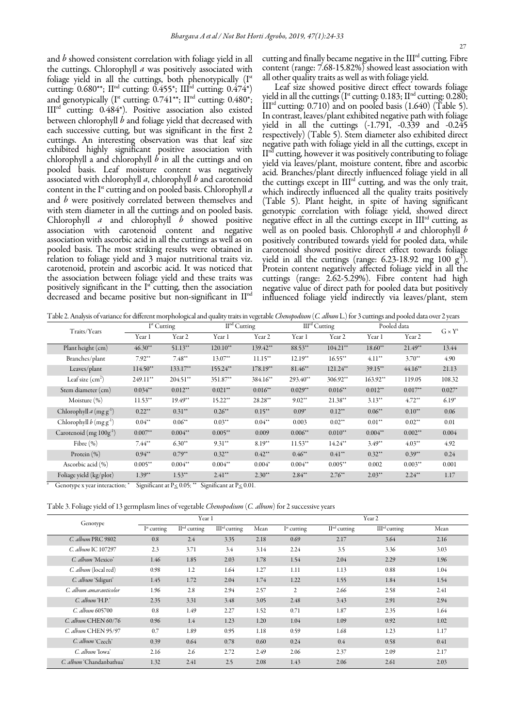and  $b$  showed consistent correlation with foliage yield in all the cuttings. Chlorophyll  $a$  was positively associated with foliage yield in all the cuttings, both phenotypically  $(I^{\text{st}})$ cutting:  $0.680**$ ; II<sup>nd</sup> cutting:  $0.455*$ ; III<sup>rd</sup> cutting:  $0.474*$ ) and genotypically (I<sup>st</sup> cutting:  $0.741**$ ; II<sup>nd</sup> cutting:  $0.480*$ ; IIIrd cutting: 0.484\*). Positive association also existed between chlorophyll b and foliage yield that decreased with each successive cutting, but was significant in the first 2 cuttings. An interesting observation was that leaf size exhibited highly significant positive association with chlorophyll a and chlorophyll  $b$  in all the cuttings and on pooled basis. Leaf moisture content was negatively associated with chlorophyll  $a$ , chlorophyll  $b$  and carotenoid content in the  $I^{\text{st}}$  cutting and on pooled basis. Chlorophyll  $a$ and b were positively correlated between themselves and with stem diameter in all the cuttings and on pooled basis. Chlorophyll  $a$  and chlorophyll  $b$  showed positive association with carotenoid content and negative association with ascorbic acid in all the cuttings as well as on pooled basis. The most striking results were obtained in relation to foliage yield and 3 major nutritional traits viz. carotenoid, protein and ascorbic acid. It was noticed that the association between foliage yield and these traits was positively significant in the  $I<sup>st</sup>$  cutting, then the association decreased and became positive but non-significant in II<sup>nd</sup>

cutting and finally became negative in the IIIrd cutting. Fibre content (range: 7.68-15.82%) showed least association with all other quality traits as well as with foliage yield.

Leaf size showed positive direct effect towards foliage yield in all the cuttings ( $I^{\text{st}}$  cutting: 0.183;  $II^{\text{nd}}$  cutting: 0.280;  $III<sup>rd</sup>$  cutting: 0.710) and on pooled basis  $(1.640)$  (Table 5). In contrast, leaves/plant exhibited negative path with foliage yield in all the cuttings  $(-1.791, -0.339)$  and  $-0.245$ respectively) (Table 5). Stem diameter also exhibited direct negative path with foliage yield in all the cuttings, except in II<sup>nd</sup> cutting, however it was positively contributing to foliage yield via leaves/plant, moisture content, fibre and ascorbic acid. Branches/plant directly influenced foliage yield in all the cuttings except in IIIrd cutting, and was the only trait, which indirectly influenced all the quality traits positively (Table 5). Plant height, in spite of having significant genotypic correlation with foliage yield, showed direct negative effect in all the cuttings except in  $III<sup>rd</sup>$  cutting, as well as on pooled basis. Chlorophyll  $a$  and chlorophyll  $b$ positively contributed towards yield for pooled data, while carotenoid showed positive direct effect towards foliage yield in all the cuttings (range:  $6.23-18.92$  mg  $100$  g<sup>-1</sup>). Protein content negatively affected foliage yield in all the cuttings (range: 2.62-5.29%). Fibre content had high negative value of direct path for pooled data but positively influenced foliage yield indirectly via leaves/plant, stem

Table 2. Analysis of variance for different morphological and quality traits in vegetable *Chenopodium* (C. album L.) for 3 cuttings and pooled data over 2 years

| Traits/Years                                                                                                                                                                      |            | $Ist$ Cutting |            | $IInd$ Cutting |            | III <sup>rd</sup> Cutting | Pooled data | $G \times Y^a$ |          |
|-----------------------------------------------------------------------------------------------------------------------------------------------------------------------------------|------------|---------------|------------|----------------|------------|---------------------------|-------------|----------------|----------|
|                                                                                                                                                                                   | Year 1     | Year 2        | Year 1     | Year 2         | Year 1     | Year 2                    | Year 1      | Year 2         |          |
| Plant height (cm)                                                                                                                                                                 | $46.30**$  | $51.13**$     | $120.10**$ | 139.42**       | 88.53**    | $104.21***$               | $18.60**$   | $21.49**$      | 13.44    |
| Branches/plant                                                                                                                                                                    | $7.92**$   | $7.48**$      | $13.07**$  | $11.15**$      | $12.19**$  | $16.55***$                | $4.11**$    | $3.70**$       | 4.90     |
| Leaves/plant                                                                                                                                                                      | $114.50**$ | 133.17**      | 155.24**   | $178.19**$     | $81.46**$  | 121.24**                  | 39.15**     | $44.16**$      | 21.13    |
| Leaf size $(cm2)$                                                                                                                                                                 | 249.11**   | $204.51**$    | 351.87**   | 384.16**       | 293.40**   | 306.92**                  | $163.92**$  | 119.05         | 108.32   |
| Stem diameter (cm)                                                                                                                                                                | $0.034**$  | $0.012**$     | $0.021**$  | $0.016**$      | $0.029**$  | $0.016**$                 | $0.012**$   | $0.017**$      | $0.027*$ |
| Moisture $(\% )$                                                                                                                                                                  | $11.53**$  | $19.49**$     | $15.22**$  | 28.28**        | $9.02**$   | $21.38**$                 | $3.13**$    | $4.72**$       | $6.19*$  |
| Chlorophyll $a$ (mg g <sup>-1</sup> )                                                                                                                                             | $0.22***$  | $0.31**$      | $0.26**$   | $0.15***$      | $0.09*$    | $0.12**$                  | $0.06**$    | $0.10**$       | 0.06     |
| Chlorophyll $b$ (mg $g^{-1}$ )                                                                                                                                                    | $0.04**$   | $0.06**$      | $0.03**$   | $0.04***$      | 0.003      | $0.02**$                  | $0.01**$    | $0.02**$       | 0.01     |
| Carotenoid $(mg 100g^{-1})$                                                                                                                                                       | $0.007**$  | $0.004**$     | $0.005***$ | 0.009          | $0.006**$  | $0.010**$                 | $0.004**$   | $0.002**$      | 0.004    |
| Fibre $(\% )$                                                                                                                                                                     | $7.44**$   | $6.30**$      | $9.31**$   | $8.19**$       | $11.53***$ | $14.24**$                 | $3.49**$    | $4.03**$       | 4.92     |
| Protein $(\%)$                                                                                                                                                                    | $0.94***$  | $0.79**$      | $0.32**$   | $0.42***$      | $0.46***$  | $0.41**$                  | $0.32**$    | $0.39**$       | 0.24     |
| Ascorbic acid (%)                                                                                                                                                                 | $0.005***$ | $0.004**$     | $0.004**$  | $0.004*$       | $0.004**$  | $0.005**$                 | 0.002       | $0.003**$      | 0.001    |
| Foliage yield (kg/plot)<br>$\frac{1}{2}$ Construent properties of $\frac{1}{2}$ , $\frac{1}{2}$ Contract $\frac{1}{2}$ , $0.05$ , $\frac{1}{2}$ , Contract $\frac{1}{2}$ , $0.01$ | $1.39**$   | $1.53**$      | $2.41**$   | $2.30**$       | $2.84***$  | $2.76**$                  | $2.03***$   | $2.24***$      | 1.17     |

Genotype x year interaction;  $*$  Significant at  $P \le 0.05$ ;  $*$  Significant at  $P \le 0.01$ .

Table 3. Foliage yield of 13 germplasm lines of vegetable Chenopodium (C. album) for 2 successive years

| Genotype                 |               | Year 1                   |                           |              |               | Year 2                   |                           |      |  |  |  |
|--------------------------|---------------|--------------------------|---------------------------|--------------|---------------|--------------------------|---------------------------|------|--|--|--|
|                          | $Ist$ cutting | II <sup>nd</sup> cutting | III <sup>rd</sup> cutting | Mean         | $Ist$ cutting | II <sup>nd</sup> cutting | III <sup>rd</sup> cutting | Mean |  |  |  |
| C. album PRC 9802        | 0.8           | 2.4                      | 3.35                      | 2.18         | 0.69          | 2.17                     | 3.64                      | 2.16 |  |  |  |
| C. album IC 107297       | 2.3           | 3.71                     | 3.4                       | 3.14         | 2.24          | 3.5                      | 3.36                      | 3.03 |  |  |  |
| C. album 'Mexico'        | 1.46          | 1.85                     | 2.03                      | 1.78         | 1.54          | 2.04                     | 2.29                      | 1.96 |  |  |  |
| C. album (local red)     | 0.98          | 1.2<br>1.72              | 1.64<br>2.04              | 1.27<br>1.74 | 1.11          | 1.13<br>1.55             | 0.88                      | 1.04 |  |  |  |
| C. album 'Siliguri'      | 1.45          |                          |                           |              | 1.22          |                          | 1.84                      | 1.54 |  |  |  |
| C. album amaranticolor   | 1.96          | 2.8                      | 2.94                      | 2.57         | 2             | 2.66                     | 2.58                      | 2.41 |  |  |  |
| $C.$ album ' $H.P.'$     | 2.35          | 3.31                     | 3.48                      | 3.05         | 2.48          | 3.43                     | 2.91                      | 2.94 |  |  |  |
| $C_{c}$ album 605700     | 0.8           | 1.49                     | 2.27                      | 1.52         | 0.71          | 1.87                     | 2.35                      | 1.64 |  |  |  |
| C. album CHEN 60/76      | 0.96          | 1.4                      | 1.23                      | 1.20         | 1.04          | 1.09                     | 0.92                      | 1.02 |  |  |  |
| C. album CHEN 95/97      | 0.7           | 1.89                     | 0.95                      | 1.18         | 0.59          | 1.68                     | 1.23                      | 1.17 |  |  |  |
| C. album 'Czech'         | 0.39          | 0.64                     | 0.78                      | 0.60         | 0.24          | 0.4                      | 0.58                      | 0.41 |  |  |  |
| C. album 'Iowa'          | 2.16          | 2.6                      | 2.72                      | 2.49         | 2.06          | 2.37                     | 2.09                      | 2.17 |  |  |  |
| C. album 'Chandanbathua' | 1.32          | 2.41                     | 2.5                       | 2.08         | 1.43          | 2.06                     | 2.61                      | 2.03 |  |  |  |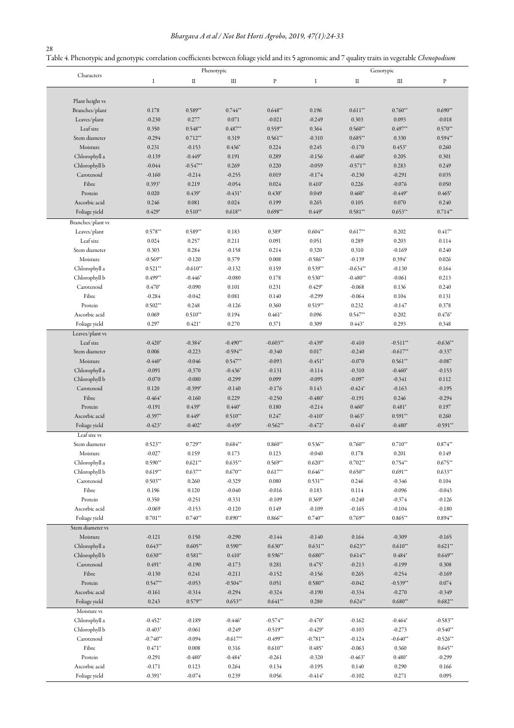# Bhargava A et al / Not Bot Horti Agrobo, 2019, 47(1):24-33

| Table 4. Phenotypic and genotypic correlation coefficients between foliage yield and its 5 agronomic and 7 quality traits in vegetable Chenopodium |  |  |
|----------------------------------------------------------------------------------------------------------------------------------------------------|--|--|
|                                                                                                                                                    |  |  |

|                   |            |            | Phenotypic |            | Genotypic  |            |            |                |  |  |  |
|-------------------|------------|------------|------------|------------|------------|------------|------------|----------------|--|--|--|
| Characters        | $\rm I$    | $\rm II$   | Ш          | $\rm P$    | I          | $\rm II$   | Ш          | ${\bf P}$      |  |  |  |
|                   |            |            |            |            |            |            |            |                |  |  |  |
|                   |            |            |            |            |            |            |            |                |  |  |  |
| Plant height vs   |            |            |            |            |            |            |            |                |  |  |  |
| Branches/plant    | 0.178      | $0.589**$  | $0.744**$  | $0.648**$  | 0.196      | $0.611**$  | $0.760**$  | $0.690**$      |  |  |  |
| Leaves/plant      | $-0.230$   | 0.277      | 0.071      | $-0.021$   | $-0.249$   | 0.303      | 0.093      | $-0.018$       |  |  |  |
| Leaf size         | 0.350      | $0.548**$  | $0.487**$  | $0.559**$  | 0.364      | $0.560**$  | $0.497**$  | $0.570**$      |  |  |  |
| Stem diameter     | $-0.294$   | $0.712**$  | 0.319      | $0.561**$  | $-0.310$   | $0.685**$  | 0.330      | $0.594**$      |  |  |  |
| Moisture          | 0.231      | $-0.153$   | $0.436*$   | 0.224      | 0.245      | $-0.170$   | $0.453*$   | 0.260          |  |  |  |
| Chlorophyll a     | $-0.139$   | $-0.449*$  | 0.191      | 0.289      | $-0.156$   | $-0.460*$  | 0.205      | 0.301          |  |  |  |
| Chlorophyll b     | $-0.044$   | $-0.547**$ | 0.269      | 0.220      | $-0.059$   | $-0.571**$ | 0.283      | 0.249          |  |  |  |
| Carotenoid        | $-0.160$   | $-0.214$   | $-0.255$   | 0.019      | $-0.174$   | $-0.230$   | $-0.291$   | 0.035          |  |  |  |
| Fibre             | $0.393*$   | 0.219      | $-0.054$   | 0.024      | $0.410*$   | 0.226      | $-0.076$   | 0.050          |  |  |  |
| Protein           | 0.020      | $0.439*$   | $-0.431*$  | $0.430*$   | 0.049      | $0.460*$   | $-0.449*$  | $0.465*$       |  |  |  |
| Ascorbic acid     | 0.246      | 0.081      | 0.024      | 0.199      | 0.265      | 0.105      | 0.070      | 0.240          |  |  |  |
| Foliage yield     | $0.429*$   | $0.510**$  | $0.618**$  | $0.698**$  | $0.449*$   | $0.581**$  | $0.653**$  | $0.714**$      |  |  |  |
| Branches/plant vs |            |            |            |            |            |            |            |                |  |  |  |
| Leaves/plant      | $0.578**$  | $0.589**$  | 0.183      | $0.389*$   | $0.604**$  | $0.617**$  | 0.202      | $0.417*$       |  |  |  |
| Leaf size         | 0.024      | 0.257      | 0.211      | 0.091      | 0.051      | 0.289      | 0.203      | 0.114          |  |  |  |
|                   |            |            |            |            |            |            |            |                |  |  |  |
| Stem diameter     | 0.303      | 0.284      | $-0.158$   | 0.214      | 0.320      | 0.310      | $-0.169$   | 0.240<br>0.026 |  |  |  |
| Moisture          | $-0.569**$ | $-0.120$   | 0.379      | 0.008      | $-0.586**$ | $-0.139$   | $0.394*$   |                |  |  |  |
| Chlorophyll a     | $0.521**$  | $-0.610**$ | $-0.132$   | 0.159      | $0.539**$  | $-0.634**$ | $-0.130$   | 0.164          |  |  |  |
| Chlorophyll b     | $0.499**$  | $-0.446*$  | $-0.080$   | 0.178      | $0.530**$  | $-0.480**$ | $-0.061$   | 0.213          |  |  |  |
| Carotenoid        | $0.470*$   | $-0.090$   | 0.101      | 0.231      | $0.429*$   | $-0.068$   | 0.136      | 0.240          |  |  |  |
| Fibre             | $-0.284$   | $-0.042$   | 0.081      | 0.140      | $-0.299$   | $-0.064$   | 0.104      | 0.131          |  |  |  |
| Protein           | $0.502**$  | 0.248      | $-0.126$   | 0.360      | $0.519**$  | 0.232      | $-0.147$   | 0.378          |  |  |  |
| Ascorbic acid     | 0.069      | $0.510**$  | 0.194      | $0.461*$   | 0.096      | $0.547**$  | 0.202      | $0.476*$       |  |  |  |
| Foliage yield     | 0.297      | $0.421*$   | 0.270      | 0.371      | 0.309      | $0.443*$   | 0.293      | 0.348          |  |  |  |
| Leaves/plant vs   |            |            |            |            |            |            |            |                |  |  |  |
| Leaf size         | $-0.420*$  | $-0.384*$  | $-0.490**$ | $-0.603**$ | $-0.439*$  | $-0.410$   | $-0.511**$ | $-0.636**$     |  |  |  |
| Stem diameter     | 0.006      | $-0.223$   | $-0.594**$ | $-0.340$   | 0.017      | $-0.240$   | $-0.617**$ | $-0.337$       |  |  |  |
| Moisture          | $-0.440*$  | $-0.046$   | $0.547**$  | $-0.093$   | $-0.451*$  | $-0.070$   | $0.561**$  | $-0.087$       |  |  |  |
| Chlorophyll a     | $-0.091$   | $-0.370$   | $-0.436*$  | $-0.131$   | $-0.114$   | $-0.310$   | $-0.460*$  | $-0.153$       |  |  |  |
| Chlorophyll b     | $-0.070$   | $-0.080$   | $-0.299$   | 0.099      | $-0.095$   | $-0.097$   | $-0.341$   | 0.112          |  |  |  |
| Carotenoid        | 0.120      | $-0.399*$  | $-0.140$   | $-0.176$   | 0.143      | $-0.424*$  | $-0.163$   | $-0.195$       |  |  |  |
| Fibre             | $-0.464*$  | $-0.160$   | 0.229      | $-0.250$   | $-0.480*$  | $-0.191$   | 0.246      | $-0.294$       |  |  |  |
| Protein           | $-0.191$   | $0.439*$   | $0.440*$   | 0.180      | $-0.214$   | $0.460*$   | $0.481*$   | 0.197          |  |  |  |
| Ascorbic acid     | $-0.397*$  | $0.449*$   | $0.510**$  | 0.247      | $-0.410*$  | $0.463*$   | $0.591**$  | 0.260          |  |  |  |
| Foliage yield     | $-0.423*$  | $-0.402*$  | $-0.459*$  | $-0.562**$ | $-0.472*$  | $-0.414*$  | $-0.480*$  | $-0.591**$     |  |  |  |
| Leaf size vs      |            |            |            |            |            |            |            |                |  |  |  |
|                   |            |            |            |            |            |            |            |                |  |  |  |
| Stem diameter     | $0.523**$  | $0.729**$  | $0.684**$  | $0.860**$  | $0.536**$  | $0.760**$  | $0.710**$  | $0.874**$      |  |  |  |
| Moisture          | $-0.027$   | 0.159      | 0.173      | 0.123      | $-0.040$   | 0.178      | 0.201      | 0.149          |  |  |  |
| Chlorophyll a     | $0.590**$  | $0.621**$  | $0.635**$  | $0.569**$  | $0.620**$  | $0.702**$  | $0.754**$  | $0.675**$      |  |  |  |
| Chlorophyll b     | $0.619**$  | $0.637**$  | $0.670**$  | $0.617**$  | $0.646**$  | $0.650**$  | $0.691**$  | $0.633**$      |  |  |  |
| Carotenoid        | $0.503**$  | 0.260      | $-0.329$   | 0.080      | $0.531**$  | 0.246      | $-0.346$   | 0.104          |  |  |  |
| Fibre             | 0.196      | 0.120      | $-0.040$   | $-0.016$   | 0.183      | 0.114      | $-0.096$   | $-0.043$       |  |  |  |
| Protein           | 0.350      | $-0.251$   | $-0.331$   | $-0.109$   | $0.369*$   | $-0.240$   | $-0.374$   | $-0.126$       |  |  |  |
| Ascorbic acid     | $-0.069$   | $-0.153$   | $-0.120$   | 0.149      | $-0.109$   | $-0.165$   | $-0.104$   | $-0.180$       |  |  |  |
| Foliage yield     | $0.701**$  | $0.740**$  | $0.890**$  | $0.866**$  | $0.740**$  | $0.769**$  | $0.865**$  | $0.894**$      |  |  |  |
| Stem diameter vs  |            |            |            |            |            |            |            |                |  |  |  |
| Moisture          | $-0.121$   | 0.150      | $-0.290$   | $-0.144$   | $-0.140$   | 0.164      | $-0.309$   | $-0.165$       |  |  |  |
| Chlorophyll a     | $0.643**$  | $0.605**$  | $0.590**$  | $0.630**$  | $0.631**$  | $0.623**$  | $0.610**$  | $0.621**$      |  |  |  |
| Chlorophyll b     | $0.630**$  | $0.581**$  | $0.410*$   | $0.596**$  | $0.680**$  | $0.614**$  | $0.484*$   | $0.649**$      |  |  |  |
| Carotenoid        | $0.491*$   | $-0.190$   | $-0.173$   | 0.281      | $0.475*$   | $-0.213$   | $-0.199$   | 0.308          |  |  |  |
| Fibre             | $-0.130$   | 0.241      | $-0.211$   | $-0.152$   | $-0.156$   | 0.265      | $-0.254$   | $-0.169$       |  |  |  |
| Protein           | $0.547**$  | $-0.053$   | $-0.504**$ | 0.051      | $0.580**$  | $-0.042$   | $-0.539**$ | 0.074          |  |  |  |
| Ascorbic acid     | $-0.161$   | $-0.314$   | $-0.294$   | $-0.324$   | $-0.190$   | $-0.334$   | $-0.270$   | $-0.349$       |  |  |  |
| Foliage yield     | 0.243      | $0.579**$  | $0.653**$  | $0.641**$  | 0.280      | $0.624**$  | $0.680**$  | $0.682**$      |  |  |  |
| Moisture vs       |            |            |            |            |            |            |            |                |  |  |  |
| Chlorophyll a     | $-0.452*$  | $-0.189$   | $-0.446*$  | $-0.574**$ | $-0.470*$  | $-0.162$   | $-0.464*$  | $-0.583**$     |  |  |  |
| Chlorophyll b     | $-0.403*$  | $-0.061$   | $-0.249$   | $-0.519**$ | $-0.429*$  | $-0.103$   | $-0.273$   | $-0.540**$     |  |  |  |
| Carotenoid        | $-0.740**$ | $-0.094$   | $-0.617**$ | $-0.499**$ | $-0.781**$ | $-0.124$   | $-0.640**$ | $-0.526**$     |  |  |  |
| Fibre             | $0.471*$   | 0.008      | 0.316      | $0.610**$  | $0.485*$   | $-0.063$   | 0.360      | $0.645**$      |  |  |  |
| Protein           | $-0.291$   | $-0.480*$  | $-0.484*$  | $-0.261$   | $-0.320$   | $-0.463*$  | $0.480*$   | $-0.299$       |  |  |  |
| Ascorbic acid     | $-0.171$   | 0.123      | 0.264      | 0.134      | $-0.195$   | 0.140      | 0.290      | 0.166          |  |  |  |
|                   | $-0.391*$  | $-0.074$   |            |            |            |            |            | 0.095          |  |  |  |
| Foliage yield     |            |            | 0.239      | 0.056      | $-0.414*$  | $-0.102$   | 0.271      |                |  |  |  |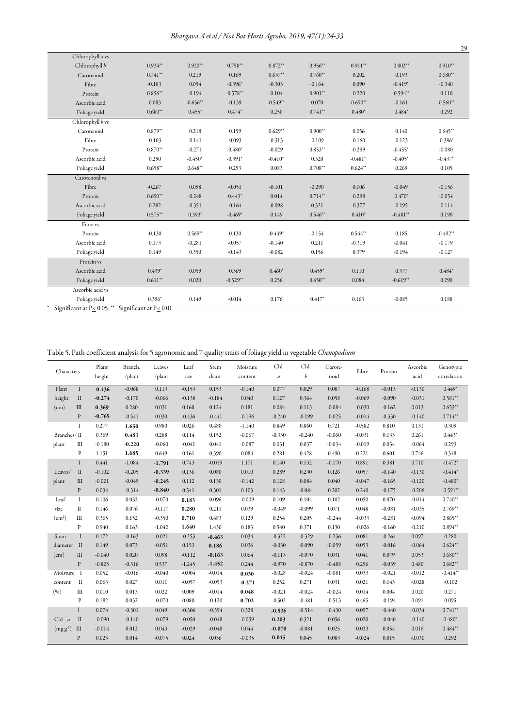|                                 | Chlorophyll a vs   |                 |            |            |            |            |            |            |            |
|---------------------------------|--------------------|-----------------|------------|------------|------------|------------|------------|------------|------------|
|                                 | Chlorophyll b      | $0.934**$       | $0.920**$  | $0.758**$  | $0.872**$  | $0.956**$  | $0.911**$  | $0.802**$  | $0.910**$  |
|                                 | Carotenoid         | $0.741**$       | 0.219      | 0.169      | $0.637**$  | $0.760**$  | 0.202      | 0.193      | $0.680**$  |
|                                 | Fibre              | $-0.183$        | 0.054      | $-0.396*$  | $-0.303$   | $-0.164$   | 0.090      | $-0.419*$  | $-0.340$   |
|                                 | Protein            | $0.856**$       | $-0.194$   | $-0.578**$ | 0.104      | $0.901**$  | $-0.220$   | $-0.594**$ | 0.110      |
|                                 | Ascorbic acid      | 0.083           | $-0.656**$ | $-0.139$   | $-0.549**$ | 0.070      | $-0.690**$ | $-0.161$   | $-0.560**$ |
|                                 | Foliage yield      | $0.680**$       | $0.455*$   | $0.474*$   | 0.250      | $0.741**$  | $0.480*$   | $0.484*$   | 0.292      |
|                                 | Chlorophyll $b$ vs |                 |            |            |            |            |            |            |            |
|                                 | Carotenoid         | $0.879**$       | 0.218      | 0.159      | $0.629**$  | $0.900**$  | 0.256      | 0.140      | $0.645**$  |
|                                 | Fibre              | $-0.103$        | $-0.141$   | $-0.093$   | $-0.313$   | $-0.109$   | $-0.160$   | $-0.123$   | $-0.386*$  |
|                                 | Protein            | $0.870**$       | $-0.271$   | $-0.480*$  | $-0.029$   | $0.853**$  | $-0.299$   | $-0.455*$  | $-0.080$   |
|                                 | Ascorbic acid      | 0.290           | $-0.450*$  | $-0.391*$  | $-0.410*$  | 0.320      | $-0.481*$  | $-0.405*$  | $-0.437*$  |
|                                 | Foliage yield      | $0.658**$       | $0.648**$  | 0.293      | 0.083      | $0.708**$  | $0.624**$  | 0.269      | 0.105      |
|                                 | Carotenoid vs      |                 |            |            |            |            |            |            |            |
|                                 | Fibre              | $-0.267$        | 0.098      | $-0.051$   | $-0.101$   | $-0.290$   | 0.106      | $-0.049$   | $-0.156$   |
|                                 | Protein            | $0.690**$       | $-0.248$   | $0.443*$   | 0.014      | $0.714***$ | $-0.298$   | $0.470*$   | $-0.054$   |
|                                 | Ascorbic acid      | 0.282           | $-0.351$   | $-0.164$   | $-0.098$   | 0.321      | $-0.377$   | $-0.195$   | $-0.114$   |
|                                 | Foliage yield      | $0.575***$      | $0.393*$   | $-0.469*$  | 0.149      | $0.546**$  | $0.410*$   | $-0.481**$ | 0.190      |
|                                 | Fibre vs           |                 |            |            |            |            |            |            |            |
|                                 | Protein            | $-0.130$        | $0.569**$  | 0.130      | $-0.449*$  | $-0.154$   | $0.544**$  | 0.185      | $-0.492**$ |
|                                 | Ascorbic acid      | 0.173           | $-0.281$   | $-0.057$   | $-0.140$   | 0.211      | $-0.319$   | $-0.041$   | $-0.179$   |
|                                 | Foliage yield      | 0.149           | 0.350      | $-0.143$   | $-0.082$   | 0.156      | 0.379      | $-0.194$   | $-0.127$   |
|                                 | Protein vs         |                 |            |            |            |            |            |            |            |
|                                 | Ascorbic acid      | $0.439*$        | 0.059      | 0.369      | $0.460*$   | $0.459*$   | 0.110      | 0.377      | $0.484*$   |
|                                 | Foliage yield      | $0.611**$       | 0.020      | $-0.529**$ | 0.256      | $0.650**$  | 0.084      | $-0.619**$ | 0.290      |
|                                 | Ascorbic acid vs   |                 |            |            |            |            |            |            |            |
|                                 | Foliage yield      | $0.396*$        | 0.149      | $-0.014$   | 0.176      | $0.417*$   | 0.163      | $-0.085$   | 0.188      |
| $\mathfrak{c}$ . $\mathfrak{c}$ | D 005 ** C.        | $D \cap \Omega$ |            |            |            |            |            |            |            |

Significant at P $\leq$  0.05; \*\* Significant at P $\leq$  0.01.

Table 5. Path coefficient analysis for 5 agronomic and 7 quality traits of foliage yield in vegetable Chenopodium

| Characters                |             | Plant<br>height | Branch.<br>/plant | Leaves<br>/plant | Leaf<br>size | Stem<br>diam. | Moisture<br>content | Chl.<br>$\boldsymbol{a}$ | Chl.<br>b | Carote-<br>noid | Fibre    | Protein  | Ascorbic<br>acid | Genotypic<br>correlation |
|---------------------------|-------------|-----------------|-------------------|------------------|--------------|---------------|---------------------|--------------------------|-----------|-----------------|----------|----------|------------------|--------------------------|
| Plant<br>$\mathbf{I}$     |             | $-0.436$        | $-0.068$          | 0.113            | $-0.153$     | 0.153         | $-0.140$            | 0.077                    | 0.029     | 0.087           | $-0.168$ | $-0.013$ | $-0.130$         | $0.449*$                 |
| height<br>$\rm II$        |             | $-0.274$        | $-0.170$          | $-0.066$         | $-0.138$     | $-0.184$      | 0.040               | 0.127                    | 0.364     | 0.058           | $-0.069$ | $-0.090$ | $-0.031$         | $0.581**$                |
| III<br>(cm)               |             | 0.369           | 0.280             | 0.031            | 0.168        | 0.124         | 0.181               | 0.084                    | 0.113     | $-0.084$        | $-0.030$ | $-0.162$ | 0.013            | $0.653**$                |
| $\mathbf{P}$              |             | $-0.765$        | $-0.541$          | 0.030            | $-0.436$     | $-0.441$      | $-0.196$            | $-0.240$                 | $-0.199$  | $-0.025$        | $-0.014$ | $-0.330$ | $-0.140$         | $0.714**$                |
| $\mathbf{I}$              |             | 0.277           | 1.650             | 0.980            | 0.026        | 0.480         | $-1.140$            | 0.849                    | 0.860     | 0.721           | $-0.582$ | 0.810    | 0.131            | 0.309                    |
| Branches/II               |             | 0.369           | 0.483             | 0.288            | 0.114        | 0.152         | $-0.067$            | $-0.330$                 | $-0.240$  | $-0.060$        | $-0.031$ | 0.133    | 0.261            | $0.443*$                 |
| Ш<br>plant                |             | $-0.180$        | $-0.220$          | $-0.060$         | $-0.041$     | 0.041         | $-0.087$            | 0.031                    | 0.037     | $-0.034$        | $-0.019$ | 0.034    | $-0.064$         | 0.293                    |
|                           | P           | 1.151           | 1.685             | 0.649            | 0.161        | 0.390         | 0.084               | 0.281                    | 0.428     | 0.490           | 0.221    | 0.601    | 0.746            | 0.348                    |
| $\mathbf I$               |             | 0.441           | $-1.084$          | $-1.791$         | 0.743        | $-0.019$      | 1.171               | 0.140                    | 0.132     | $-0.170$        | 0.891    | 0.381    | 0.710            | $-0.472*$                |
| $\mathbf{I}$<br>Leaves/   |             | $-0.102$        | $-0.205$          | $-0.339$         | 0.136        | 0.080         | 0.010               | 0.289                    | 0.230     | 0.126           | 0.057    | $-0.140$ | $-0.130$         | $-0.414*$                |
| III<br>plant              |             | $-0.021$        | $-0.049$          | $-0.245$         | 0.112        | 0.130         | $-0.142$            | 0.128                    | 0.084     | 0.040           | $-0.047$ | $-0.165$ | $-0.120$         | $-0.480*$                |
| $\mathbf{P}$              |             | 0.034           | $-0.314$          | $-0.840$         | 0.541        | 0.301         | 0.103               | 0.143                    | $-0.084$  | 0.202           | 0.240    | $-0.175$ | $-0.206$         | $-0.591**$               |
| Leaf<br>$\bf{I}$          |             | 0.106           | 0.032             | $-0.070$         | 0.183        | 0.096         | $-0.009$            | 0.109                    | 0.104     | 0.102           | 0.050    | 0.070    | $-0.014$         | $0.740**$                |
| $\mathbf{I}$<br>size      |             | 0.146           | 0.076             | $-0.117$         | 0.280        | 0.211         | 0.039               | $-0.049$                 | $-0.099$  | 0.071           | 0.048    | $-0.081$ | $-0.035$         | $0.769**$                |
| III<br>(cm <sup>2</sup> ) |             | 0.365           | 0.152             | $-0.350$         | 0.710        | 0.483         | 0.129               | 0.254                    | 0.205     | $-0.244$        | $-0.033$ | $-0.281$ | $-0.094$         | $0.865**$                |
| P                         |             | 0.940           | 0.163             | $-1.042$         | 1.640        | 1.430         | 0.183               | 0.540                    | 0.371     | 0.130           | $-0.026$ | $-0.160$ | $-0.210$         | $0.894**$                |
| Stem                      | $\mathbf I$ | 0.172           | $-0.163$          | $-0.021$         | $-0.253$     | $-0.463$      | 0.034               | $-0.322$                 | $-0.329$  | $-0.236$        | 0.081    | $-0.264$ | 0.097            | 0.280                    |
| diameter II               |             | 0.149           | 0.073             | $-0.051$         | 0.153        | 0.186         | 0.036               | $-0.030$                 | $-0.090$  | $-0.059$        | 0.053    | $-0.016$ | $-0.064$         | $0.624**$                |
| III<br>(cm)               |             | $-0.040$        | 0.020             | 0.098            | $-0.112$     | $-0.163$      | 0.064               | $-0.113$                 | $-0.070$  | 0.031           | 0.041    | 0.079    | 0.053            | $0.680**$                |
| $\mathbf{P}$              |             | $-0.825$        | $-0.316$          | 0.537            | $-1.245$     | $-1.452$      | 0.244               | $-0.970$                 | $-0.870$  | $-0.488$        | 0.296    | $-0.039$ | 0.480            | $0.682**$                |
| Moisture I                |             | 0.052           | $-0.016$          | $-0.040$         | $-0.004$     | $-0.014$      | 0.030               | $-0.028$                 | $-0.024$  | $-0.081$        | 0.033    | $-0.021$ | $-0.012$         | $-0.414**$               |
| $\mathbf{I}$<br>content   |             | 0.063           | 0.027             | 0.011            | $-0.057$     | $-0.053$      | $-0.271$            | 0.252                    | 0.271     | 0.031           | 0.021    | 0.143    | $-0.028$         | $-0.102$                 |
| (96)<br>III               |             | 0.010           | 0.013             | 0.022            | 0.009        | $-0.014$      | 0.048               | $-0.021$                 | $-0.024$  | $-0.024$        | 0.014    | 0.004    | 0.020            | 0.271                    |
| P                         |             | 0.182           | 0.032             | $-0.070$         | 0.080        | $-0.120$      | 0.702               | $-0.502$                 | $-0.481$  | $-0.513$        | 0.465    | $-0.194$ | 0.091            | 0.095                    |
| $\mathbf{I}$              |             | 0.074           | $-0.301$          | 0.049            | $-0.306$     | $-0.394$      | 0.328               | $-0.536$                 | $-0.514$  | $-0.430$        | 0.097    | $-0.440$ | $-0.034$         | $0.741**$                |
| Chl. a<br>$\;$ II         |             | $-0.090$        | $-0.140$          | $-0.079$         | $-0.050$     | $-0.048$      | $-0.059$            | 0.203                    | 0.321     | 0.056           | 0.020    | $-0.040$ | $-0.140$         | $0.480*$                 |
| $(mg g-1)$<br>$\rm III$   |             | $-0.014$        | 0.012             | 0.043            | $-0.029$     | $-0.048$      | 0.044               | $-0.070$                 | $-0.081$  | 0.025           | 0.033    | 0.054    | 0.016            | $0.484**$                |
| $\mathbf{P}$              |             | 0.023           | 0.014             | $-0.075$         | 0.024        | 0.036         | $-0.035$            | 0.045                    | 0.045     | 0.083           | $-0.024$ | 0.015    | $-0.030$         | 0.292                    |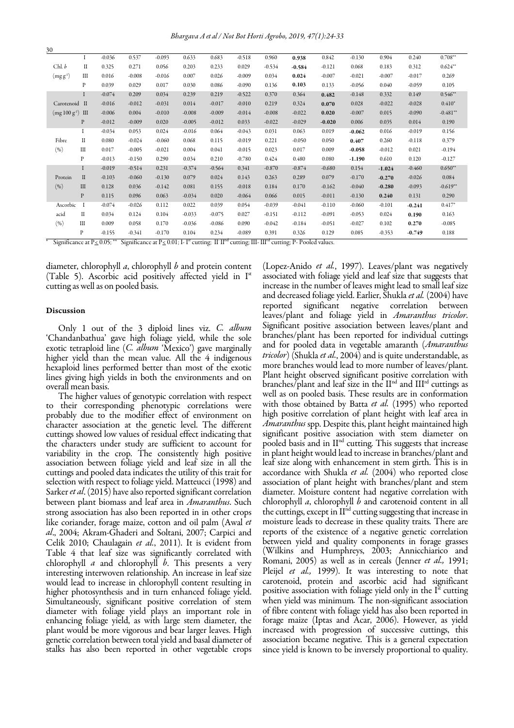| $0.708**$<br>0.633<br>0.960<br>$-0.036$<br>0.537<br>$-0.093$<br>0.683<br>$-0.518$<br>0.842<br>$-0.130$<br>0.904<br>0.240<br>Ι.<br>0.938<br>Chl. b<br>$_{\rm II}$<br>$0.624**$<br>0.325<br>0.271<br>0.056<br>0.203<br>0.233<br>0.029<br>$-0.534$<br>$-0.121$<br>0.068<br>0.183<br>0.312<br>$-0.584$<br>0.269<br>$-0.008$<br>0.007<br>0.026<br>0.034<br>$-0.007$<br>$-0.021$<br>$-0.017$<br>0.016<br>$-0.016$<br>$-0.009$<br>0.024<br>$-0.007$<br>III<br>$(mg g-1)$<br>0.103<br>0.105<br>0.039<br>0.029<br>0.017<br>0.030<br>0.086<br>$-0.090$<br>0.136<br>0.133<br>$-0.056$<br>0.040<br>$-0.059$<br>P<br>$0.546**$<br>$-0.074$<br>$-0.522$<br>0.364<br>$-0.148$<br>0.209<br>0.034<br>0.239<br>0.219<br>0.370<br>0.332<br>0.149<br>0.482<br>Carotenoid II<br>$0.410*$<br>$-0.016$<br>$-0.012$<br>$-0.010$<br>0.324<br>0.028<br>$-0.031$<br>0.014<br>$-0.017$<br>0.219<br>$-0.022$<br>$-0.028$<br>0.070<br>$(mg 100 g-1)$ III<br>$-0.481**$<br>$-0.006$<br>0.004<br>$-0.014$<br>$-0.008$<br>$-0.022$<br>$-0.007$<br>$-0.090$<br>$-0.010$<br>$-0.008$<br>$-0.009$<br>0.020<br>0.015<br>$-0.020$<br>0.006<br>$\mathbf{P}$<br>$-0.012$<br>$-0.009$<br>$-0.005$<br>0.033<br>$-0.022$<br>$-0.029$<br>0.190<br>0.020<br>$-0.012$<br>0.035<br>0.014<br>0.156<br>I<br>$-0.034$<br>0.053<br>0.063<br>$-0.019$<br>0.024<br>$-0.016$<br>0.064<br>$-0.043$<br>0.031<br>0.019<br>0.016<br>$-0.062$<br>$_{\rm II}$<br>Fibre<br>$-0.024$<br>0.379<br>0.080<br>$-0.060$<br>0.068<br>0.115<br>$-0.019$<br>0.221<br>$-0.050$<br>0.050<br>0.260<br>$-0.118$<br>0.407<br>(%)<br>III<br>0.017<br>$-0.005$<br>$-0.021$<br>0.004<br>$-0.015$<br>0.023<br>0.017<br>0.009<br>$-0.058$<br>$-0.012$<br>0.021<br>$-0.194$<br>0.041<br>P<br>$-0.013$<br>$-0.780$<br>0.480<br>$-1.190$<br>$-0.127$<br>$-0.150$<br>0.290<br>0.034<br>0.210<br>0.424<br>0.080<br>0.610<br>0.120<br>$-0.514$<br>$0.650**$<br>$-0.019$<br>$-0.374$<br>$-0.564$<br>0.341<br>$-0.870$<br>$-0.874$<br>0.154<br>$-0.460$<br>0.231<br>$-0.680$<br>$-1.024$<br>$\mathbf{I}$<br>$-0.103$<br>$-0.060$<br>0.079<br>0.143<br>0.289<br>0.079<br>$-0.170$<br>0.084<br>$-0.130$<br>0.024<br>0.263<br>$-0.026$<br>Protein<br>$-0.270$<br>(96)<br>$-0.619**$<br>III<br>0.128<br>0.170<br>0.036<br>0.081<br>0.155<br>$-0.018$<br>0.184<br>$-0.162$<br>$-0.040$<br>$-0.093$<br>$-0.142$<br>$-0.280$<br>$\mathbf{P}$<br>0.115<br>0.096<br>$-0.064$<br>$-0.130$<br>0.290<br>0.063<br>$-0.034$<br>0.020<br>0.066<br>0.015<br>$-0.011$<br>0.240<br>0.131<br>Ascorbic I<br>$0.417*$<br>$-0.074$<br>$-0.026$<br>$-0.060$<br>0.112<br>0.022<br>0.054<br>$-0.039$<br>$-0.041$<br>$-0.110$<br>$-0.101$<br>0.039<br>$-0.241$<br>П<br>acid<br>0.034<br>0.124<br>0.027<br>$-0.112$<br>0.163<br>0.104<br>$-0.033$<br>$-0.075$<br>$-0.151$<br>$-0.091$<br>$-0.053$<br>0.024<br>0.190<br>(% )<br>III<br>0.009<br>0.058<br>0.170<br>$-0.036$<br>$-0.086$<br>0.090<br>$-0.042$<br>$-0.184$<br>$-0.027$<br>0.270<br>$-0.085$<br>$-0.051$<br>0.102<br>$\mathbf{P}$<br>$-0.749$<br>$-0.155$<br>$-0.341$<br>0.104<br>0.234<br>$-0.089$<br>0.391<br>0.326<br>0.129<br>0.085<br>0.188<br>$-0.170$<br>$-0.353$ | $\frac{30}{2}$ |  |  |  |  |  |  |  |  |
|------------------------------------------------------------------------------------------------------------------------------------------------------------------------------------------------------------------------------------------------------------------------------------------------------------------------------------------------------------------------------------------------------------------------------------------------------------------------------------------------------------------------------------------------------------------------------------------------------------------------------------------------------------------------------------------------------------------------------------------------------------------------------------------------------------------------------------------------------------------------------------------------------------------------------------------------------------------------------------------------------------------------------------------------------------------------------------------------------------------------------------------------------------------------------------------------------------------------------------------------------------------------------------------------------------------------------------------------------------------------------------------------------------------------------------------------------------------------------------------------------------------------------------------------------------------------------------------------------------------------------------------------------------------------------------------------------------------------------------------------------------------------------------------------------------------------------------------------------------------------------------------------------------------------------------------------------------------------------------------------------------------------------------------------------------------------------------------------------------------------------------------------------------------------------------------------------------------------------------------------------------------------------------------------------------------------------------------------------------------------------------------------------------------------------------------------------------------------------------------------------------------------------------------------------------------------------------------------------------------------------------------------------------------------------------------------------------------------------------------------------------------------------------------------------------------------------------------------------------------------------------------------------------------------------------------------------------------------------------------------------------------------------------------------------------------------------------------------------------------|----------------|--|--|--|--|--|--|--|--|
|                                                                                                                                                                                                                                                                                                                                                                                                                                                                                                                                                                                                                                                                                                                                                                                                                                                                                                                                                                                                                                                                                                                                                                                                                                                                                                                                                                                                                                                                                                                                                                                                                                                                                                                                                                                                                                                                                                                                                                                                                                                                                                                                                                                                                                                                                                                                                                                                                                                                                                                                                                                                                                                                                                                                                                                                                                                                                                                                                                                                                                                                                                                  |                |  |  |  |  |  |  |  |  |
|                                                                                                                                                                                                                                                                                                                                                                                                                                                                                                                                                                                                                                                                                                                                                                                                                                                                                                                                                                                                                                                                                                                                                                                                                                                                                                                                                                                                                                                                                                                                                                                                                                                                                                                                                                                                                                                                                                                                                                                                                                                                                                                                                                                                                                                                                                                                                                                                                                                                                                                                                                                                                                                                                                                                                                                                                                                                                                                                                                                                                                                                                                                  |                |  |  |  |  |  |  |  |  |
|                                                                                                                                                                                                                                                                                                                                                                                                                                                                                                                                                                                                                                                                                                                                                                                                                                                                                                                                                                                                                                                                                                                                                                                                                                                                                                                                                                                                                                                                                                                                                                                                                                                                                                                                                                                                                                                                                                                                                                                                                                                                                                                                                                                                                                                                                                                                                                                                                                                                                                                                                                                                                                                                                                                                                                                                                                                                                                                                                                                                                                                                                                                  |                |  |  |  |  |  |  |  |  |
|                                                                                                                                                                                                                                                                                                                                                                                                                                                                                                                                                                                                                                                                                                                                                                                                                                                                                                                                                                                                                                                                                                                                                                                                                                                                                                                                                                                                                                                                                                                                                                                                                                                                                                                                                                                                                                                                                                                                                                                                                                                                                                                                                                                                                                                                                                                                                                                                                                                                                                                                                                                                                                                                                                                                                                                                                                                                                                                                                                                                                                                                                                                  |                |  |  |  |  |  |  |  |  |
|                                                                                                                                                                                                                                                                                                                                                                                                                                                                                                                                                                                                                                                                                                                                                                                                                                                                                                                                                                                                                                                                                                                                                                                                                                                                                                                                                                                                                                                                                                                                                                                                                                                                                                                                                                                                                                                                                                                                                                                                                                                                                                                                                                                                                                                                                                                                                                                                                                                                                                                                                                                                                                                                                                                                                                                                                                                                                                                                                                                                                                                                                                                  |                |  |  |  |  |  |  |  |  |
|                                                                                                                                                                                                                                                                                                                                                                                                                                                                                                                                                                                                                                                                                                                                                                                                                                                                                                                                                                                                                                                                                                                                                                                                                                                                                                                                                                                                                                                                                                                                                                                                                                                                                                                                                                                                                                                                                                                                                                                                                                                                                                                                                                                                                                                                                                                                                                                                                                                                                                                                                                                                                                                                                                                                                                                                                                                                                                                                                                                                                                                                                                                  |                |  |  |  |  |  |  |  |  |
|                                                                                                                                                                                                                                                                                                                                                                                                                                                                                                                                                                                                                                                                                                                                                                                                                                                                                                                                                                                                                                                                                                                                                                                                                                                                                                                                                                                                                                                                                                                                                                                                                                                                                                                                                                                                                                                                                                                                                                                                                                                                                                                                                                                                                                                                                                                                                                                                                                                                                                                                                                                                                                                                                                                                                                                                                                                                                                                                                                                                                                                                                                                  |                |  |  |  |  |  |  |  |  |
|                                                                                                                                                                                                                                                                                                                                                                                                                                                                                                                                                                                                                                                                                                                                                                                                                                                                                                                                                                                                                                                                                                                                                                                                                                                                                                                                                                                                                                                                                                                                                                                                                                                                                                                                                                                                                                                                                                                                                                                                                                                                                                                                                                                                                                                                                                                                                                                                                                                                                                                                                                                                                                                                                                                                                                                                                                                                                                                                                                                                                                                                                                                  |                |  |  |  |  |  |  |  |  |
|                                                                                                                                                                                                                                                                                                                                                                                                                                                                                                                                                                                                                                                                                                                                                                                                                                                                                                                                                                                                                                                                                                                                                                                                                                                                                                                                                                                                                                                                                                                                                                                                                                                                                                                                                                                                                                                                                                                                                                                                                                                                                                                                                                                                                                                                                                                                                                                                                                                                                                                                                                                                                                                                                                                                                                                                                                                                                                                                                                                                                                                                                                                  |                |  |  |  |  |  |  |  |  |
|                                                                                                                                                                                                                                                                                                                                                                                                                                                                                                                                                                                                                                                                                                                                                                                                                                                                                                                                                                                                                                                                                                                                                                                                                                                                                                                                                                                                                                                                                                                                                                                                                                                                                                                                                                                                                                                                                                                                                                                                                                                                                                                                                                                                                                                                                                                                                                                                                                                                                                                                                                                                                                                                                                                                                                                                                                                                                                                                                                                                                                                                                                                  |                |  |  |  |  |  |  |  |  |
|                                                                                                                                                                                                                                                                                                                                                                                                                                                                                                                                                                                                                                                                                                                                                                                                                                                                                                                                                                                                                                                                                                                                                                                                                                                                                                                                                                                                                                                                                                                                                                                                                                                                                                                                                                                                                                                                                                                                                                                                                                                                                                                                                                                                                                                                                                                                                                                                                                                                                                                                                                                                                                                                                                                                                                                                                                                                                                                                                                                                                                                                                                                  |                |  |  |  |  |  |  |  |  |
|                                                                                                                                                                                                                                                                                                                                                                                                                                                                                                                                                                                                                                                                                                                                                                                                                                                                                                                                                                                                                                                                                                                                                                                                                                                                                                                                                                                                                                                                                                                                                                                                                                                                                                                                                                                                                                                                                                                                                                                                                                                                                                                                                                                                                                                                                                                                                                                                                                                                                                                                                                                                                                                                                                                                                                                                                                                                                                                                                                                                                                                                                                                  |                |  |  |  |  |  |  |  |  |
|                                                                                                                                                                                                                                                                                                                                                                                                                                                                                                                                                                                                                                                                                                                                                                                                                                                                                                                                                                                                                                                                                                                                                                                                                                                                                                                                                                                                                                                                                                                                                                                                                                                                                                                                                                                                                                                                                                                                                                                                                                                                                                                                                                                                                                                                                                                                                                                                                                                                                                                                                                                                                                                                                                                                                                                                                                                                                                                                                                                                                                                                                                                  |                |  |  |  |  |  |  |  |  |
|                                                                                                                                                                                                                                                                                                                                                                                                                                                                                                                                                                                                                                                                                                                                                                                                                                                                                                                                                                                                                                                                                                                                                                                                                                                                                                                                                                                                                                                                                                                                                                                                                                                                                                                                                                                                                                                                                                                                                                                                                                                                                                                                                                                                                                                                                                                                                                                                                                                                                                                                                                                                                                                                                                                                                                                                                                                                                                                                                                                                                                                                                                                  |                |  |  |  |  |  |  |  |  |
|                                                                                                                                                                                                                                                                                                                                                                                                                                                                                                                                                                                                                                                                                                                                                                                                                                                                                                                                                                                                                                                                                                                                                                                                                                                                                                                                                                                                                                                                                                                                                                                                                                                                                                                                                                                                                                                                                                                                                                                                                                                                                                                                                                                                                                                                                                                                                                                                                                                                                                                                                                                                                                                                                                                                                                                                                                                                                                                                                                                                                                                                                                                  |                |  |  |  |  |  |  |  |  |
|                                                                                                                                                                                                                                                                                                                                                                                                                                                                                                                                                                                                                                                                                                                                                                                                                                                                                                                                                                                                                                                                                                                                                                                                                                                                                                                                                                                                                                                                                                                                                                                                                                                                                                                                                                                                                                                                                                                                                                                                                                                                                                                                                                                                                                                                                                                                                                                                                                                                                                                                                                                                                                                                                                                                                                                                                                                                                                                                                                                                                                                                                                                  |                |  |  |  |  |  |  |  |  |
|                                                                                                                                                                                                                                                                                                                                                                                                                                                                                                                                                                                                                                                                                                                                                                                                                                                                                                                                                                                                                                                                                                                                                                                                                                                                                                                                                                                                                                                                                                                                                                                                                                                                                                                                                                                                                                                                                                                                                                                                                                                                                                                                                                                                                                                                                                                                                                                                                                                                                                                                                                                                                                                                                                                                                                                                                                                                                                                                                                                                                                                                                                                  |                |  |  |  |  |  |  |  |  |
|                                                                                                                                                                                                                                                                                                                                                                                                                                                                                                                                                                                                                                                                                                                                                                                                                                                                                                                                                                                                                                                                                                                                                                                                                                                                                                                                                                                                                                                                                                                                                                                                                                                                                                                                                                                                                                                                                                                                                                                                                                                                                                                                                                                                                                                                                                                                                                                                                                                                                                                                                                                                                                                                                                                                                                                                                                                                                                                                                                                                                                                                                                                  |                |  |  |  |  |  |  |  |  |
|                                                                                                                                                                                                                                                                                                                                                                                                                                                                                                                                                                                                                                                                                                                                                                                                                                                                                                                                                                                                                                                                                                                                                                                                                                                                                                                                                                                                                                                                                                                                                                                                                                                                                                                                                                                                                                                                                                                                                                                                                                                                                                                                                                                                                                                                                                                                                                                                                                                                                                                                                                                                                                                                                                                                                                                                                                                                                                                                                                                                                                                                                                                  |                |  |  |  |  |  |  |  |  |
|                                                                                                                                                                                                                                                                                                                                                                                                                                                                                                                                                                                                                                                                                                                                                                                                                                                                                                                                                                                                                                                                                                                                                                                                                                                                                                                                                                                                                                                                                                                                                                                                                                                                                                                                                                                                                                                                                                                                                                                                                                                                                                                                                                                                                                                                                                                                                                                                                                                                                                                                                                                                                                                                                                                                                                                                                                                                                                                                                                                                                                                                                                                  |                |  |  |  |  |  |  |  |  |

\* Significance at P  $\leq$  0.05; \*\* Significance at P  $\leq$  0.01; I-1<sup>st</sup> cutting; IIII<sup>nd</sup> cutting; III-III<sup>nd</sup> cutting; P- Pooled values.

diameter, chlorophyll a, chlorophyll b and protein content (Table 5). Ascorbic acid positively affected yield in  $I^*$ cutting as well as on pooled basis.

# Discussion

Only 1 out of the 3 diploid lines viz. C. album 'Chandanbathua' gave high foliage yield, while the sole exotic tetraploid line  $(C.$  *album* 'Mexico') gave marginally higher yield than the mean value. All the 4 indigenous hexaploid lines performed better than most of the exotic lines giving high yields in both the environments and on overall mean basis.

The higher values of genotypic correlation with respect to their corresponding phenotypic correlations were probably due to the modifier effect of environment on character association at the genetic level. The different cuttings showed low values of residual effect indicating that the characters under study are sufficient to account for variability in the crop. The consistently high positive association between foliage yield and leaf size in all the cuttings and pooled data indicates the utility of this trait for selection with respect to foliage yield. Matteucci (1998) and Sarker *et al.* (2015) have also reported significant correlation between plant biomass and leaf area in Amaranthus. Such strong association has also been reported in in other crops like coriander, forage maize, cotton and oil palm (Awal et al., 2004; Akram-Ghaderi and Soltani, 2007; Carpici and Celik 2010; Chaulagain et al., 2011). It is evident from Table 4 that leaf size was significantly correlated with chlorophyll  $a$  and chlorophyll  $b$ . This presents a very interesting interwoven relationship. An increase in leaf size would lead to increase in chlorophyll content resulting in higher photosynthesis and in turn enhanced foliage yield. Simultaneously, significant positive correlation of stem diameter with foliage yield plays an important role in enhancing foliage yield, as with large stem diameter, the plant would be more vigorous and bear larger leaves. High genetic correlation between total yield and basal diameter of stalks has also been reported in other vegetable crops

(Lopez-Anido et al., 1997). Leaves/plant was negatively associated with foliage yield and leaf size that suggests that increase in the number of leaves might lead to small leaf size and decreased foliage yield. Earlier, Shukla et al. (2004) have reported significant negative correlation between leaves/plant and foliage yield in Amaranthus tricolor. Significant positive association between leaves/plant and branches/plant has been reported for individual cuttings and for pooled data in vegetable amaranth (Amaranthus tricolor) (Shukla et al., 2004) and is quite understandable, as more branches would lead to more number of leaves/plant. Plant height observed significant positive correlation with branches/plant and leaf size in the II<sup>nd</sup> and III<sup>rd</sup> cuttings as well as on pooled basis. These results are in conformation with those obtained by Batta et al. (1995) who reported high positive correlation of plant height with leaf area in Amaranthus spp. Despite this, plant height maintained high significant positive association with stem diameter on pooled basis and in  $II<sup>nd</sup>$  cutting. This suggests that increase in plant height would lead to increase in branches/plant and leaf size along with enhancement in stem girth. This is in accordance with Shukla *et al.* (2004) who reported close association of plant height with branches/plant and stem diameter. Moisture content had negative correlation with chlorophyll a, chlorophyll  $b$  and carotenoid content in all the cuttings, except in  $II<sup>nd</sup>$  cutting suggesting that increase in moisture leads to decrease in these quality traits. There are reports of the existence of a negative genetic correlation between yield and quality components in forage grasses (Wilkins and Humphreys, 2003; Annicchiarico and Romani, 2005) as well as in cereals (Jenner et al., 1991; Pleijel et al., 1999). It was interesting to note that carotenoid, protein and ascorbic acid had significant positive association with foliage yield only in the  $I^*$  cutting when yield was minimum. The non-significant association of fibre content with foliage yield has also been reported in forage maize (Iptas and Acar, 2006). However, as yield increased with progression of successive cuttings, this association became negative. This is a general expectation since yield is known to be inversely proportional to quality.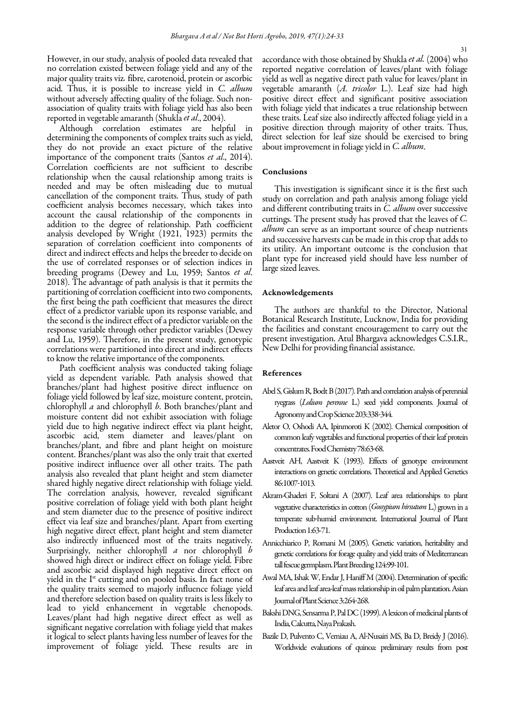However, in our study, analysis of pooled data revealed that no correlation existed between foliage yield and any of the major quality traits viz. fibre, carotenoid, protein or ascorbic acid. Thus, it is possible to increase yield in C. album without adversely affecting quality of the foliage. Such nonassociation of quality traits with foliage yield has also been reported in vegetable amaranth (Shukla et al., 2004).

Although correlation estimates are helpful in determining the components of complex traits such as yield, they do not provide an exact picture of the relative importance of the component traits (Santos et al., 2014). Correlation coefficients are not sufficient to describe relationship when the causal relationship among traits is needed and may be often misleading due to mutual cancellation of the component traits. Thus, study of path coefficient analysis becomes necessary, which takes into account the causal relationship of the components in addition to the degree of relationship. Path coefficient analysis developed by Wright (1921, 1923) permits the separation of correlation coefficient into components of direct and indirect effects and helps the breeder to decide on the use of correlated responses or of selection indices in breeding programs (Dewey and Lu, 1959; Santos et al. 2018). The advantage of path analysis is that it permits the partitioning of correlation coefficient into two components, the first being the path coefficient that measures the direct effect of a predictor variable upon its response variable, and the second is the indirect effect of a predictor variable on the response variable through other predictor variables (Dewey and Lu, 1959). Therefore, in the present study, genotypic correlations were partitioned into direct and indirect effects to know the relative importance of the components.

Path coefficient analysis was conducted taking foliage yield as dependent variable. Path analysis showed that branches/plant had highest positive direct influence on foliage yield followed by leaf size, moisture content, protein, chlorophyll  $a$  and chlorophyll  $b$ . Both branches/plant and moisture content did not exhibit association with foliage yield due to high negative indirect effect via plant height, ascorbic acid, stem diameter and leaves/plant on branches/plant, and fibre and plant height on moisture content. Branches/plant was also the only trait that exerted positive indirect influence over all other traits. The path analysis also revealed that plant height and stem diameter shared highly negative direct relationship with foliage yield. The correlation analysis, however, revealed significant positive correlation of foliage yield with both plant height and stem diameter due to the presence of positive indirect effect via leaf size and branches/plant. Apart from exerting high negative direct effect, plant height and stem diameter also indirectly influenced most of the traits negatively. Surprisingly, neither chlorophyll *a* nor chlorophyll *b* showed high direct or indirect effect on foliage yield. Fibre and ascorbic acid displayed high negative direct effect on yield in the  $I^*$  cutting and on pooled basis. In fact none of the quality traits seemed to majorly influence foliage yield and therefore selection based on quality traits is less likely to lead to yield enhancement in vegetable chenopods. Leaves/plant had high negative direct effect as well as significant negative correlation with foliage yield that makes it logical to select plants having less number of leaves for the improvement of foliage yield. These results are in

accordance with those obtained by Shukla et al. (2004) who reported negative correlation of leaves/plant with foliage yield as well as negative direct path value for leaves/plant in vegetable amaranth (A. tricolor L.). Leaf size had high positive direct effect and significant positive association with foliage yield that indicates a true relationship between these traits. Leaf size also indirectly affected foliage yield in a positive direction through majority of other traits. Thus, direct selection for leaf size should be exercised to bring about improvement in foliage yield in C. album.

#### Conclusions

This investigation is significant since it is the first such study on correlation and path analysis among foliage yield and different contributing traits in *C. album* over successive cuttings. The present study has proved that the leaves of C. album can serve as an important source of cheap nutrients and successive harvests can be made in this crop that adds to its utility. An important outcome is the conclusion that plant type for increased yield should have less number of large sized leaves.

#### Acknowledgements

The authors are thankful to the Director, National Botanical Research Institute, Lucknow, India for providing the facilities and constant encouragement to carry out the present investigation. Atul Bhargava acknowledges C.S.I.R., New Delhi for providing financial assistance.

# References

- Abel S, Gislum R, Boelt B (2017). Path and correlation analysis of perennial ryegrass (Lolium perenne L.) seed yield components. Journal of Agronomy and Crop Science 203:338-344.
- Aletor O, Oshodi AA, Ipinmoroti K (2002). Chemical composition of common leafy vegetables and functional properties of their leaf protein concentrates. Food Chemistry 78:63-68.
- Aastveit AH, Aastveit K (1993). Effects of genotype environment interactions on genetic correlations. Theoretical and Applied Genetics 86:1007-1013.
- Akram-Ghaderi F, Soltani A (2007). Leaf area relationships to plant vegetative characteristics in cotton (Gossypium hirsutum L.) grown in a temperate sub-humid environment. International Journal of Plant Production 1:63-71.
- Annicchiarico P, Romani M (2005). Genetic variation, heritability and genetic correlations for forage quality and yield traits of Mediterranean tall fescue germplasm. Plant Breeding 124:99-101.
- Awal MA, Ishak W, Endar J, Haniff M (2004). Determination of specific leaf area and leaf area-leaf mass relationship in oil palm plantation. Asian Journal of Plant Science 3:264-268.
- Bakshi DNG, Sensarma P, Pal DC (1999). A lexicon of medicinal plants of India, Calcutta, Naya Prakash.
- Bazile D, Pulvento C, Verniau A, Al-Nusairi MS, Ba D, Breidy J (2016). Worldwide evaluations of quinoa: preliminary results from post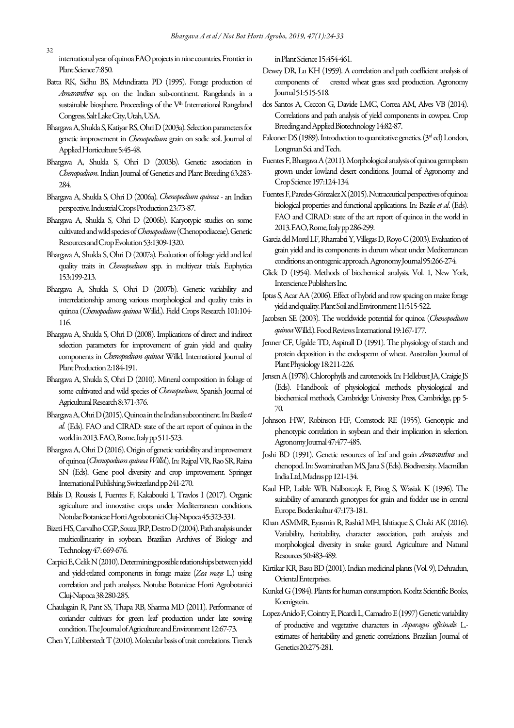international year of quinoa FAO projects in nine countries. Frontier in Plant Science 7:850.

- Batta RK, Sidhu BS, Mehndiratta PD (1995). Forage production of Amaranthus ssp. on the Indian sub-continent. Rangelands in a sustainable biosphere. Proceedings of the  $V<sup>th</sup>$  International Rangeland Congress, Salt Lake City, Utah, USA.
- Bhargava A, Shukla S, Katiyar RS, Ohri D (2003a). Selection parameters for genetic improvement in Chenopodium grain on sodic soil. Journal of Applied Horticulture 5:45-48.
- Bhargava A, Shukla S, Ohri D (2003b). Genetic association in Chenopodium. Indian Journal of Genetics and Plant Breeding 63:283- 284.
- Bhargava A, Shukla S, Ohri D (2006a). Chenopodium quinoa an Indian perspective. Industrial Crops Production 23:73-87.
- Bhargava A, Shukla S, Ohri D (2006b). Karyotypic studies on some cultivated and wild species of Chenopodium (Chenopodiaceae). Genetic Resources and Crop Evolution 53:1309-1320.
- Bhargava A, Shukla S, Ohri D (2007a). Evaluation of foliage yield and leaf quality traits in *Chenopodium* spp. in multiyear trials. Euphytica 153:199-213.
- Bhargava A, Shukla S, Ohri D (2007b). Genetic variability and interrelationship among various morphological and quality traits in quinoa (Chenopodium quinoa Willd.). Field Crops Research 101:104- 116.
- Bhargava A, Shukla S, Ohri D (2008). Implications of direct and indirect selection parameters for improvement of grain yield and quality components in Chenopodium quinoa Willd. International Journal of Plant Production 2:184-191.
- Bhargava A, Shukla S, Ohri D (2010). Mineral composition in foliage of some cultivated and wild species of *Chenopodium*. Spanish Journal of Agricultural Research 8:371-376.
- Bhargava A, Ohri D (2015). Quinoa in the Indian subcontinent. In: Bazile et al. (Eds). FAO and CIRAD: state of the art report of quinoa in the world in 2013. FAO, Rome, Italy pp 511-523.
- Bhargava A, Ohri D (2016). Origin of genetic variability and improvement of quinoa (Chenopodium quinoa Willd.). In: Rajpal VR, Rao SR, Raina SN (Eds). Gene pool diversity and crop improvement. Springer International Publishing, Switzerland pp 241-270.
- Bilalis D, Roussis I, Fuentes F, Kakabouki I, Travlos I (2017). Organic agriculture and innovative crops under Mediterranean conditions. Notulae Botanicae Horti Agrobotanici Cluj-Napoca 45:323-331.
- Bizeti HS, Carvalho CGP, Souza JRP, Destro D (2004). Path analysis under multicollinearity in soybean. Brazilian Archives of Biology and Technology 47: 669-676.
- Carpici E, Celik N (2010). Determining possible relationships between yield and yield-related components in forage maize (Zea mays L.) using correlation and path analyses. Notulae Botanicae Horti Agrobotanici Cluj-Napoca38:280-285.
- Chaulagain R, Pant SS, Thapa RB, Sharma MD (2011). Performance of coriander cultivars for green leaf production under late sowing condition. The Journal of Agriculture and Environment 12:67-73.
- Chen Y, Lübberstedt T (2010). Molecular basis of trait correlations. Trends

in Plant Science 15:454-461.

- Dewey DR, Lu KH (1959). A correlation and path coefficient analysis of components of crested wheat grass seed production. Agronomy Journal51:515-518.
- dos Santos A, Ceccon G, Davide LMC, Correa AM, Alves VB (2014). Correlations and path analysis of yield components in cowpea. Crop Breeding and Applied Biotechnology 14:82-87.
- Falconer DS (1989). Introduction to quantitative genetics. (3<sup>rd</sup> ed) London, Longman Sci. and Tech.
- Fuentes F, Bhargava A (2011). Morphological analysis of quinoa germplasm grown under lowland desert conditions. Journal of Agronomy and Crop Science 197:124-134.
- Fuentes F, Paredes-Gónzalez X (2015). Nutraceutical perspectives of quinoa: biological properties and functional applications. In: Bazile et al. (Eds). FAO and CIRAD: state of the art report of quinoa in the world in 2013. FAO, Rome, Italy pp 286-299.
- Garcia del Morel LF, Rharrabti Y, Villegas D, Royo C (2003). Evaluation of grain yield and its components in durum wheat under Mediterranean conditions: an ontogenic approach. Agronomy Journal 95:266-274.
- Glick D (1954). Methods of biochemical analysis. Vol. 1, New York, Interscience Publishers Inc.
- Iptas S, Acar AA (2006). Effect of hybrid and row spacing on maize forage yield and quality. Plant Soil and Environment 11:515-522.
- Jacobsen SE (2003). The worldwide potential for quinoa (Chenopodium quinoa Willd.). Food Reviews International 19:167-177.
- Jenner CF, Ugalde TD, Aspinall D (1991). The physiology of starch and protein deposition in the endosperm of wheat. Australian Journal of Plant Physiology 18:211-226.
- Jensen A (1978). Chlorophylls and carotenoids. In: Hellebust JA, Craigie JS (Eds). Handbook of physiological methods: physiological and biochemical methods, Cambridge University Press, Cambridge, pp 5- 70.
- Johnson HW, Robinson HF, Comstock RE (1955). Genotypic and phenotypic correlation in soybean and their implication in selection. Agronomy Journal 47:477-485.
- Joshi BD (1991). Genetic resources of leaf and grain Amaranthus and chenopod. In: Swaminathan MS, Jana S (Eds). Biodiversity. Macmillan India Ltd, Madras pp 121-134.
- Kaul HP, Laible WB, Nalborczyk E, Pirog S, Wasiak K (1996). The suitability of amaranth genotypes for grain and fodder use in central Europe. Bodenkultur 47:173-181.
- Khan ASMMR, Eyasmin R, Rashid MH, Ishtiaque S, Chaki AK (2016). Variability, heritability, character association, path analysis and morphological diversity in snake gourd. Agriculture and Natural Resources 50:483-489.
- Kirtikar KR, Basu BD (2001). Indian medicinal plants(Vol. 9), Dehradun, Oriental Enterprises.
- Kunkel G (1984). Plants for human consumption. Koeltz Scientific Books, Koenigstein.
- Lopez-Anido F, Cointry E, Picardi L, Camadro E (1997) Genetic variability of productive and vegetative characters in Asparagus officinalis L.estimates of heritability and genetic correlations. Brazilian Journal of Genetics 20:275-281.